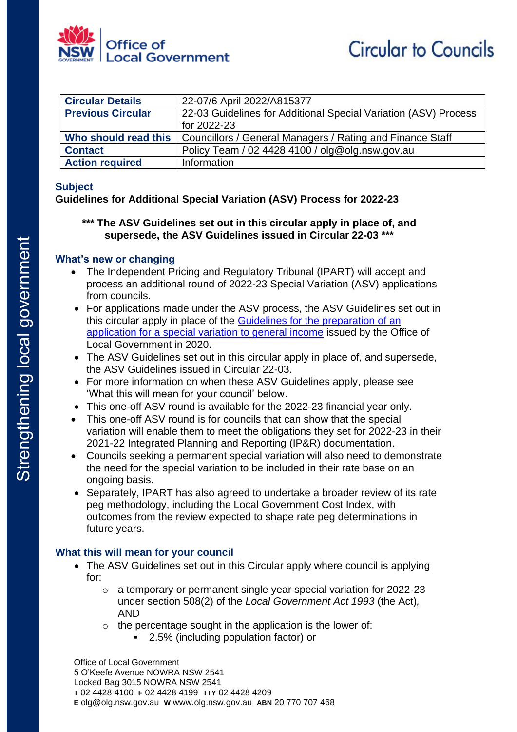

| <b>Circular Details</b>  | 22-07/6 April 2022/A815377                                      |
|--------------------------|-----------------------------------------------------------------|
| <b>Previous Circular</b> | 22-03 Guidelines for Additional Special Variation (ASV) Process |
|                          | for 2022-23                                                     |
| Who should read this     | Councillors / General Managers / Rating and Finance Staff       |
| <b>Contact</b>           | Policy Team / 02 4428 4100 / olg@olg.nsw.gov.au                 |
| <b>Action required</b>   | Information                                                     |

#### **Subject**

### **Guidelines for Additional Special Variation (ASV) Process for 2022-23**

### **\*\*\* The ASV Guidelines set out in this circular apply in place of, and supersede, the ASV Guidelines issued in Circular 22-03 \*\*\***

### **What's new or changing**

- The Independent Pricing and Regulatory Tribunal (IPART) will accept and process an additional round of 2022-23 Special Variation (ASV) applications from councils.
- For applications made under the ASV process, the ASV Guidelines set out in this circular apply in place of the [Guidelines for the preparation of an](https://www.ipart.nsw.gov.au/sites/default/files/documents/olg-guidelines-special-variation-2021-22_0.pdf)  [application for a special variation to general income](https://www.ipart.nsw.gov.au/sites/default/files/documents/olg-guidelines-special-variation-2021-22_0.pdf) issued by the Office of Local Government in 2020.
- The ASV Guidelines set out in this circular apply in place of, and supersede, the ASV Guidelines issued in Circular 22-03.
- For more information on when these ASV Guidelines apply, please see 'What this will mean for your council' below.
- This one-off ASV round is available for the 2022-23 financial year only.
- This one-off ASV round is for councils that can show that the special variation will enable them to meet the obligations they set for 2022-23 in their 2021-22 Integrated Planning and Reporting (IP&R) documentation.
- Councils seeking a permanent special variation will also need to demonstrate the need for the special variation to be included in their rate base on an ongoing basis.
- Separately, IPART has also agreed to undertake a broader review of its rate peg methodology, including the Local Government Cost Index, with outcomes from the review expected to shape rate peg determinations in future years.

## **What this will mean for your council**

- The ASV Guidelines set out in this Circular apply where council is applying for:
	- o a temporary or permanent single year special variation for 2022-23 under section 508(2) of the *Local Government Act 1993* (the Act)*,*  AND
	- $\circ$  the percentage sought in the application is the lower of:
		- 2.5% (including population factor) or

Office of Local Government 5 O'Keefe Avenue NOWRA NSW 2541 Locked Bag 3015 NOWRA NSW 2541 **T** 02 4428 4100 **F** 02 4428 4199 **TTY** 02 4428 4209 **E** olg@olg.nsw.gov.au **W** www.olg.nsw.gov.au **ABN** 20 770 707 468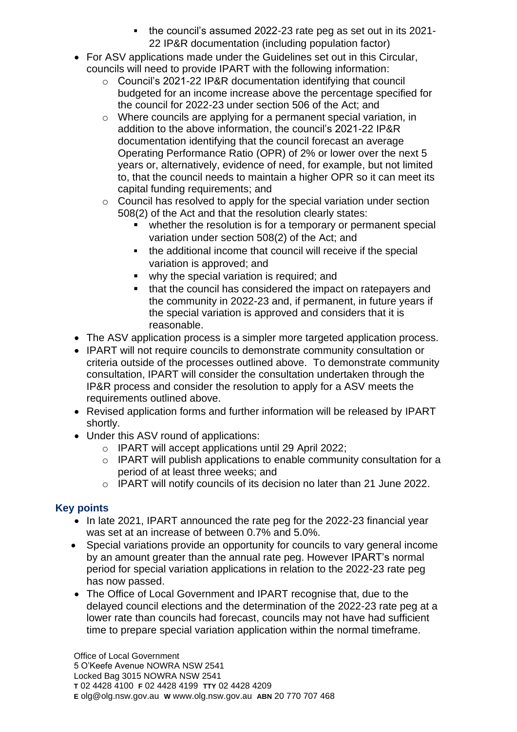- the council's assumed 2022-23 rate peg as set out in its 2021- 22 IP&R documentation (including population factor)
- For ASV applications made under the Guidelines set out in this Circular, councils will need to provide IPART with the following information:
	- o Council's 2021-22 IP&R documentation identifying that council budgeted for an income increase above the percentage specified for the council for 2022-23 under section 506 of the Act; and
	- o Where councils are applying for a permanent special variation, in addition to the above information, the council's 2021-22 IP&R documentation identifying that the council forecast an average Operating Performance Ratio (OPR) of 2% or lower over the next 5 years or, alternatively, evidence of need, for example, but not limited to, that the council needs to maintain a higher OPR so it can meet its capital funding requirements; and
	- o Council has resolved to apply for the special variation under section 508(2) of the Act and that the resolution clearly states:
		- whether the resolution is for a temporary or permanent special variation under section 508(2) of the Act; and
		- the additional income that council will receive if the special variation is approved; and
		- why the special variation is required; and
		- that the council has considered the impact on ratepayers and the community in 2022-23 and, if permanent, in future years if the special variation is approved and considers that it is reasonable.
- The ASV application process is a simpler more targeted application process.
- IPART will not require councils to demonstrate community consultation or criteria outside of the processes outlined above. To demonstrate community consultation, IPART will consider the consultation undertaken through the IP&R process and consider the resolution to apply for a ASV meets the requirements outlined above.
- Revised application forms and further information will be released by IPART shortly.
- Under this ASV round of applications:
	- o IPART will accept applications until 29 April 2022;
	- o IPART will publish applications to enable community consultation for a period of at least three weeks; and
	- o IPART will notify councils of its decision no later than 21 June 2022.

# **Key points**

- In late 2021, IPART announced the rate peg for the 2022-23 financial year was set at an increase of between 0.7% and 5.0%.
- Special variations provide an opportunity for councils to vary general income by an amount greater than the annual rate peg. However IPART's normal period for special variation applications in relation to the 2022-23 rate peg has now passed.
- The Office of Local Government and IPART recognise that, due to the delayed council elections and the determination of the 2022-23 rate peg at a lower rate than councils had forecast, councils may not have had sufficient time to prepare special variation application within the normal timeframe.